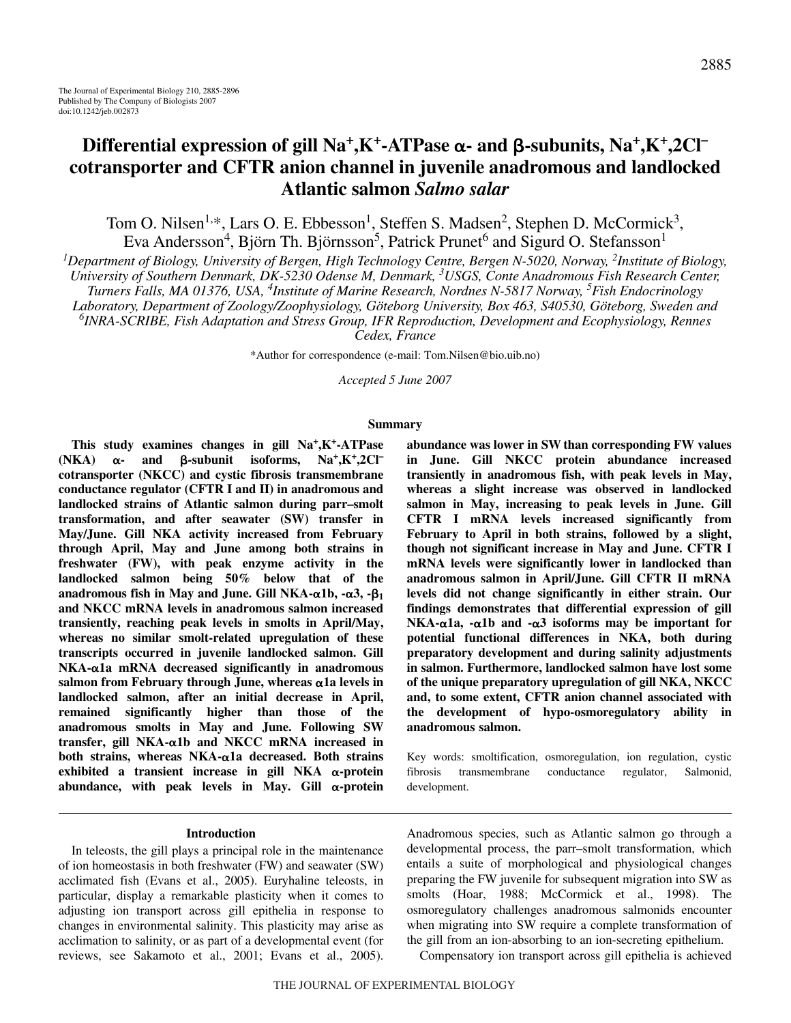# $\text{Differential expression of } \text{gill} \text{ Na}^+, \text{K}^-\text{ATPase} \alpha \text{- and } \beta \text{-subunits,} \text{ Na}^+, \text{K}^+ \text{,} 2 \text{Cl}^$ **cotransporter and CFTR anion channel in juvenile anadromous and landlocked Atlantic salmon** *Salmo salar*

Tom O. Nilsen<sup>1,\*</sup>, Lars O. E. Ebbesson<sup>1</sup>, Steffen S. Madsen<sup>2</sup>, Stephen D. McCormick<sup>3</sup>, Eva Andersson<sup>4</sup>, Björn Th. Björnsson<sup>5</sup>, Patrick Prunet<sup>6</sup> and Sigurd O. Stefansson<sup>1</sup>

*1 Department of Biology, University of Bergen, High Technology Centre, Bergen N-5020, Norway, 2 Institute of Biology, University of Southern Denmark, DK-5230 Odense M, Denmark, 3 USGS, Conte Anadromous Fish Research Center, Turners Falls, MA 01376, USA, 4 Institute of Marine Research, Nordnes N-5817 Norway, 5 Fish Endocrinology Laboratory, Department of Zoology/Zoophysiology, Göteborg University, Box 463, S40530, Göteborg, Sweden and 6 INRA-SCRIBE, Fish Adaptation and Stress Group, IFR Reproduction, Development and Ecophysiology, Rennes*

*Cedex, France*

\*Author for correspondence (e-mail: Tom.Nilsen@bio.uib.no)

*Accepted 5 June 2007*

#### **Summary**

**This study examines changes in gill Na+,K+-ATPase**  $(NKA)$   $\alpha$ -**- and -subunit isoforms, Na+,K+,2Cl– cotransporter (NKCC) and cystic fibrosis transmembrane conductance regulator (CFTR I and II) in anadromous and landlocked strains of Atlantic salmon during parr–smolt transformation, and after seawater (SW) transfer in May/June. Gill NKA activity increased from February through April, May and June among both strains in freshwater (FW), with peak enzyme activity in the landlocked salmon being 50% below that of the** anadromous fish in May and June. Gill NKA- $\alpha$ 1b, - $\alpha$ 3, - $\beta$ <sub>1</sub> **and NKCC mRNA levels in anadromous salmon increased transiently, reaching peak levels in smolts in April/May, whereas no similar smolt-related upregulation of these transcripts occurred in juvenile landlocked salmon. Gill** NKA-α1a mRNA decreased significantly in anadromous salmon from February through June, whereas  $\alpha$ 1a levels in **landlocked salmon, after an initial decrease in April, remained significantly higher than those of the anadromous smolts in May and June. Following SW** transfer, gill NKA-α1b and NKCC mRNA increased in both strains, whereas NKA-α1a decreased. Both strains exhibited a transient increase in gill NKA α-protein abundance, with peak levels in May. Gill  $\alpha$ -protein

#### **Introduction**

In teleosts, the gill plays a principal role in the maintenance of ion homeostasis in both freshwater (FW) and seawater (SW) acclimated fish (Evans et al., 2005). Euryhaline teleosts, in particular, display a remarkable plasticity when it comes to adjusting ion transport across gill epithelia in response to changes in environmental salinity. This plasticity may arise as acclimation to salinity, or as part of a developmental event (for reviews, see Sakamoto et al., 2001; Evans et al., 2005). **abundance was lower in SW than corresponding FW values in June. Gill NKCC protein abundance increased transiently in anadromous fish, with peak levels in May, whereas a slight increase was observed in landlocked salmon in May, increasing to peak levels in June. Gill CFTR I mRNA levels increased significantly from February to April in both strains, followed by a slight, though not significant increase in May and June. CFTR I mRNA levels were significantly lower in landlocked than anadromous salmon in April/June. Gill CFTR II mRNA levels did not change significantly in either strain. Our findings demonstrates that differential expression of gill NKA-α1a, -α1b and -α3 isoforms may be important for potential functional differences in NKA, both during preparatory development and during salinity adjustments in salmon. Furthermore, landlocked salmon have lost some of the unique preparatory upregulation of gill NKA, NKCC and, to some extent, CFTR anion channel associated with the development of hypo-osmoregulatory ability in anadromous salmon.**

Key words: smoltification, osmoregulation, ion regulation, cystic fibrosis transmembrane conductance regulator, Salmonid, development.

Anadromous species, such as Atlantic salmon go through a developmental process, the parr–smolt transformation, which entails a suite of morphological and physiological changes preparing the FW juvenile for subsequent migration into SW as smolts (Hoar, 1988; McCormick et al., 1998). The osmoregulatory challenges anadromous salmonids encounter when migrating into SW require a complete transformation of the gill from an ion-absorbing to an ion-secreting epithelium.

Compensatory ion transport across gill epithelia is achieved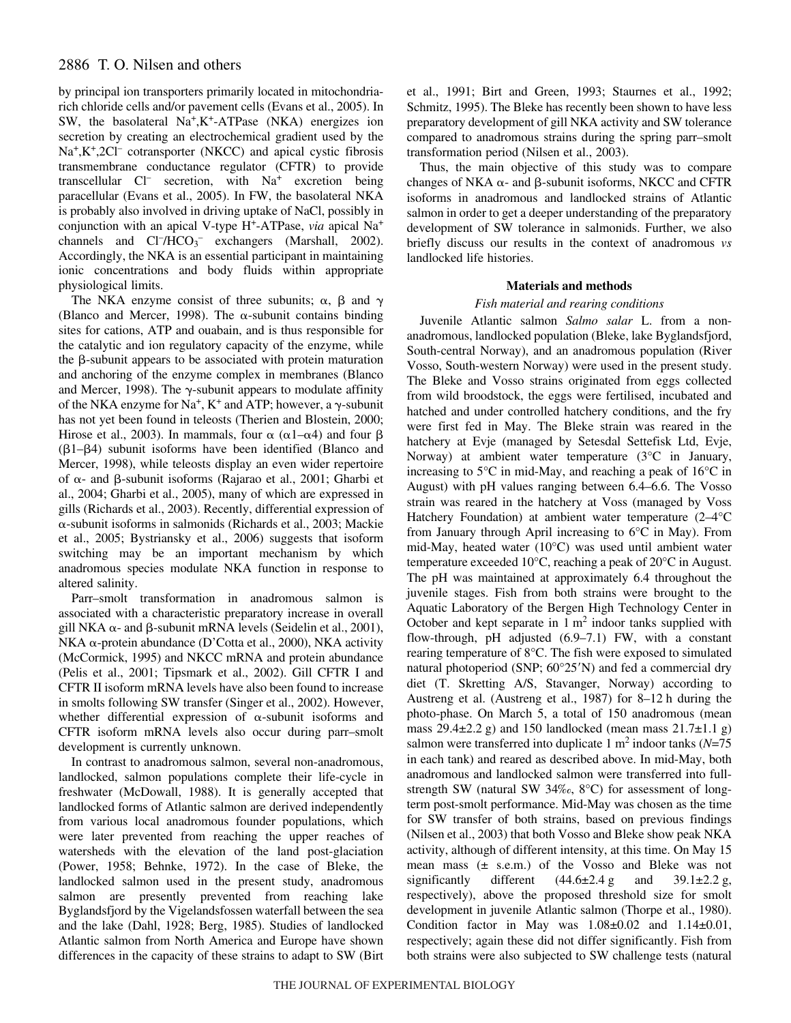# 2886 T. O. Nilsen and others

by principal ion transporters primarily located in mitochondriarich chloride cells and/or pavement cells (Evans et al., 2005). In SW, the basolateral Na+,K+-ATPase (NKA) energizes ion secretion by creating an electrochemical gradient used by the  $Na^+,K^+,2Cl^-$  cotransporter (NKCC) and apical cystic fibrosis transmembrane conductance regulator (CFTR) to provide transcellular Cl<sup>-</sup> secretion, with Na<sup>+</sup> excretion being paracellular (Evans et al., 2005). In FW, the basolateral NKA is probably also involved in driving uptake of NaCl, possibly in conjunction with an apical V-type H+-ATPase, *via* apical Na+ channels and  $CI^-/HCO_3^-$  exchangers (Marshall, 2002). Accordingly, the NKA is an essential participant in maintaining ionic concentrations and body fluids within appropriate physiological limits.

The NKA enzyme consist of three subunits;  $\alpha$ ,  $\beta$  and  $\gamma$ (Blanco and Mercer, 1998). The  $\alpha$ -subunit contains binding sites for cations, ATP and ouabain, and is thus responsible for the catalytic and ion regulatory capacity of the enzyme, while the  $\beta$ -subunit appears to be associated with protein maturation and anchoring of the enzyme complex in membranes (Blanco and Mercer, 1998). The  $\gamma$ -subunit appears to modulate affinity of the NKA enzyme for Na<sup>+</sup>, K<sup>+</sup> and ATP; however, a  $\gamma$ -subunit has not yet been found in teleosts (Therien and Blostein, 2000; Hirose et al., 2003). In mammals, four  $\alpha$  ( $\alpha$ 1– $\alpha$ 4) and four  $\beta$  $(\beta1-\beta4)$  subunit isoforms have been identified (Blanco and Mercer, 1998), while teleosts display an even wider repertoire of α- and β-subunit isoforms (Rajarao et al., 2001; Gharbi et al., 2004; Gharbi et al., 2005), many of which are expressed in gills (Richards et al., 2003). Recently, differential expression of --subunit isoforms in salmonids (Richards et al., 2003; Mackie et al., 2005; Bystriansky et al., 2006) suggests that isoform switching may be an important mechanism by which anadromous species modulate NKA function in response to altered salinity.

Parr–smolt transformation in anadromous salmon is associated with a characteristic preparatory increase in overall gill NKA  $\alpha$ - and  $\beta$ -subunit mRNA levels (Seidelin et al., 2001), NKA α-protein abundance (D'Cotta et al., 2000), NKA activity (McCormick, 1995) and NKCC mRNA and protein abundance (Pelis et al., 2001; Tipsmark et al., 2002). Gill CFTR I and CFTR II isoform mRNA levels have also been found to increase in smolts following SW transfer (Singer et al., 2002). However, whether differential expression of  $\alpha$ -subunit isoforms and CFTR isoform mRNA levels also occur during parr–smolt development is currently unknown.

In contrast to anadromous salmon, several non-anadromous, landlocked, salmon populations complete their life-cycle in freshwater (McDowall, 1988). It is generally accepted that landlocked forms of Atlantic salmon are derived independently from various local anadromous founder populations, which were later prevented from reaching the upper reaches of watersheds with the elevation of the land post-glaciation (Power, 1958; Behnke, 1972). In the case of Bleke, the landlocked salmon used in the present study, anadromous salmon are presently prevented from reaching lake Byglandsfjord by the Vigelandsfossen waterfall between the sea and the lake (Dahl, 1928; Berg, 1985). Studies of landlocked Atlantic salmon from North America and Europe have shown differences in the capacity of these strains to adapt to SW (Birt et al., 1991; Birt and Green, 1993; Staurnes et al., 1992; Schmitz, 1995). The Bleke has recently been shown to have less preparatory development of gill NKA activity and SW tolerance compared to anadromous strains during the spring parr–smolt transformation period (Nilsen et al., 2003).

Thus, the main objective of this study was to compare changes of NKA  $\alpha$ - and  $\beta$ -subunit isoforms, NKCC and CFTR isoforms in anadromous and landlocked strains of Atlantic salmon in order to get a deeper understanding of the preparatory development of SW tolerance in salmonids. Further, we also briefly discuss our results in the context of anadromous *vs* landlocked life histories.

# **Materials and methods**

# *Fish material and rearing conditions*

Juvenile Atlantic salmon *Salmo salar* L. from a nonanadromous, landlocked population (Bleke, lake Byglandsfjord, South-central Norway), and an anadromous population (River Vosso, South-western Norway) were used in the present study. The Bleke and Vosso strains originated from eggs collected from wild broodstock, the eggs were fertilised, incubated and hatched and under controlled hatchery conditions, and the fry were first fed in May. The Bleke strain was reared in the hatchery at Evje (managed by Setesdal Settefisk Ltd, Evje, Norway) at ambient water temperature (3°C in January, increasing to 5°C in mid-May, and reaching a peak of 16°C in August) with pH values ranging between 6.4–6.6. The Vosso strain was reared in the hatchery at Voss (managed by Voss Hatchery Foundation) at ambient water temperature (2–4°C from January through April increasing to 6°C in May). From mid-May, heated water (10°C) was used until ambient water temperature exceeded 10°C, reaching a peak of 20°C in August. The pH was maintained at approximately 6.4 throughout the juvenile stages. Fish from both strains were brought to the Aquatic Laboratory of the Bergen High Technology Center in October and kept separate in  $1 \text{ m}^2$  indoor tanks supplied with flow-through, pH adjusted (6.9–7.1) FW, with a constant rearing temperature of 8°C. The fish were exposed to simulated natural photoperiod (SNP;  $60^{\circ}25'$ N) and fed a commercial dry diet (T. Skretting A/S, Stavanger, Norway) according to Austreng et al. (Austreng et al., 1987) for  $8-12$  h during the photo-phase. On March 5, a total of 150 anadromous (mean mass  $29.4\pm 2.2$  g) and 150 landlocked (mean mass  $21.7\pm 1.1$  g) salmon were transferred into duplicate  $1 \text{ m}^2$  indoor tanks ( $N=75$ ) in each tank) and reared as described above. In mid-May, both anadromous and landlocked salmon were transferred into fullstrength SW (natural SW 34‰, 8°C) for assessment of longterm post-smolt performance. Mid-May was chosen as the time for SW transfer of both strains, based on previous findings (Nilsen et al., 2003) that both Vosso and Bleke show peak NKA activity, although of different intensity, at this time. On May 15 mean mass (± s.e.m.) of the Vosso and Bleke was not significantly different  $(44.6\pm 2.4 \text{ g}$  and  $39.1\pm 2.2 \text{ g}$ , respectively), above the proposed threshold size for smolt development in juvenile Atlantic salmon (Thorpe et al., 1980). Condition factor in May was  $1.08 \pm 0.02$  and  $1.14 \pm 0.01$ , respectively; again these did not differ significantly. Fish from both strains were also subjected to SW challenge tests (natural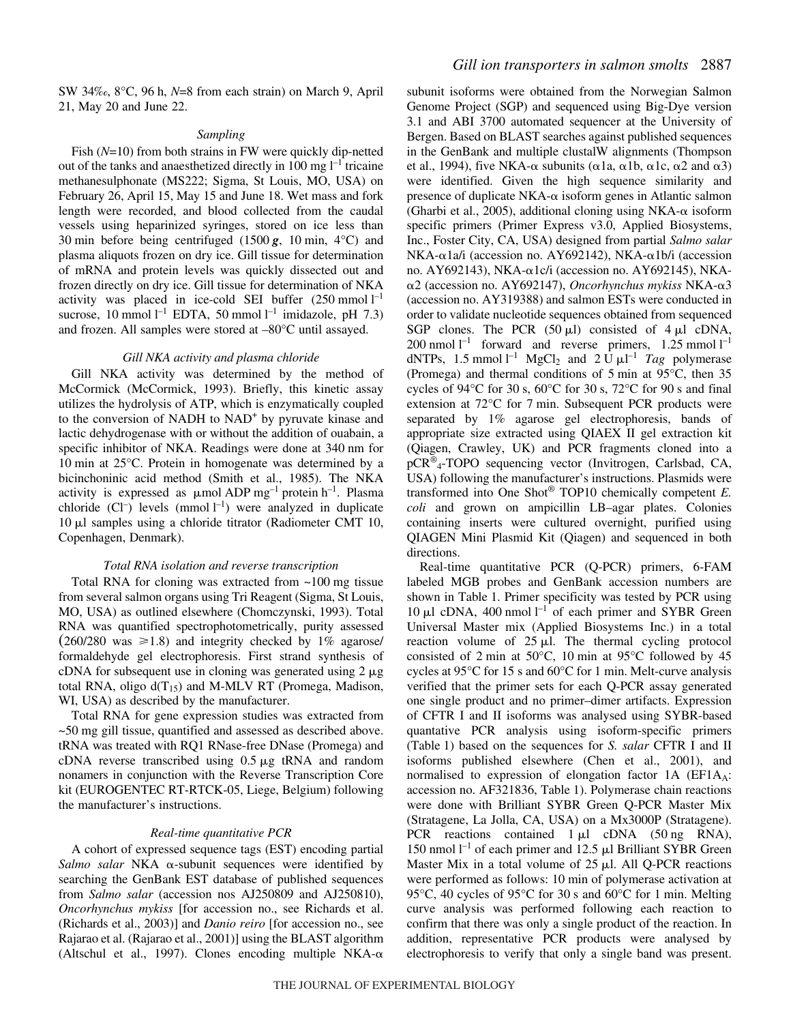SW 34‰, 8°C, 96 h, N=8 from each strain) on March 9, April 21, May 20 and June 22.

#### *Sampling*

Fish (*N*=10) from both strains in FW were quickly dip-netted out of the tanks and anaesthetized directly in 100 mg  $l^{-1}$  tricaine methanesulphonate (MS222; Sigma, St Louis, MO, USA) on February 26, April 15, May 15 and June 18. Wet mass and fork length were recorded, and blood collected from the caudal vessels using heparinized syringes, stored on ice less than 30 min before being centrifuged (1500 $\mathbf{g}$ , 10 min, 4°C) and plasma aliquots frozen on dry ice. Gill tissue for determination of mRNA and protein levels was quickly dissected out and frozen directly on dry ice. Gill tissue for determination of NKA activity was placed in ice-cold SEI buffer  $(250 \text{ mmol } l^{-1})$ sucrose, 10 mmol  $l^{-1}$  EDTA, 50 mmol  $l^{-1}$  imidazole, pH 7.3) and frozen. All samples were stored at –80°C until assayed.

# *Gill NKA activity and plasma chloride*

Gill NKA activity was determined by the method of McCormick (McCormick, 1993). Briefly, this kinetic assay utilizes the hydrolysis of ATP, which is enzymatically coupled to the conversion of NADH to NAD<sup>+</sup> by pyruvate kinase and lactic dehydrogenase with or without the addition of ouabain, a specific inhibitor of NKA. Readings were done at 340 nm for 10 min at  $25^{\circ}$ C. Protein in homogenate was determined by a bicinchoninic acid method (Smith et al., 1985). The NKA activity is expressed as  $\mu$ mol ADP mg<sup>-1</sup> protein h<sup>-1</sup>. Plasma chloride (Cl<sup>-</sup>) levels (mmol  $l^{-1}$ ) were analyzed in duplicate  $10 \mu l$  samples using a chloride titrator (Radiometer CMT 10, Copenhagen, Denmark).

#### *Total RNA isolation and reverse transcription*

Total RNA for cloning was extracted from  $\sim$ 100 mg tissue from several salmon organs using Tri Reagent (Sigma, St Louis, MO, USA) as outlined elsewhere (Chomczynski, 1993). Total RNA was quantified spectrophotometrically, purity assessed  $(260/280 \text{ was } \ge 1.8)$  and integrity checked by 1% agarose/ formaldehyde gel electrophoresis. First strand synthesis of cDNA for subsequent use in cloning was generated using  $2 \mu$ g total RNA, oligo  $d(T_{15})$  and M-MLV RT (Promega, Madison, WI, USA) as described by the manufacturer.

Total RNA for gene expression studies was extracted from ~50 mg gill tissue, quantified and assessed as described above. tRNA was treated with RQ1 RNase-free DNase (Promega) and cDNA reverse transcribed using  $0.5 \mu$ g tRNA and random nonamers in conjunction with the Reverse Transcription Core kit (EUROGENTEC RT-RTCK-05, Liege, Belgium) following the manufacturer's instructions.

# *Real-time quantitative PCR*

A cohort of expressed sequence tags (EST) encoding partial Salmo salar NKA  $\alpha$ -subunit sequences were identified by searching the GenBank EST database of published sequences from *Salmo salar* (accession nos AJ250809 and AJ250810), *Oncorhynchus mykiss* [for accession no., see Richards et al. (Richards et al., 2003)] and *Danio reiro* [for accession no., see Rajarao et al. (Rajarao et al., 2001)] using the BLAST algorithm (Altschul et al., 1997). Clones encoding multiple NKA- $\alpha$  subunit isoforms were obtained from the Norwegian Salmon Genome Project (SGP) and sequenced using Big-Dye version 3.1 and ABI 3700 automated sequencer at the University of Bergen. Based on BLAST searches against published sequences in the GenBank and multiple clustalW alignments (Thompson et al., 1994), five NKA- $\alpha$  subunits ( $\alpha$ 1a,  $\alpha$ 1b,  $\alpha$ 1c,  $\alpha$ 2 and  $\alpha$ 3) were identified. Given the high sequence similarity and presence of duplicate NKA- $\alpha$  isoform genes in Atlantic salmon (Gharbi et al., 2005), additional cloning using NKA- $\alpha$  isoform specific primers (Primer Express v3.0, Applied Biosystems, Inc., Foster City, CA, USA) designed from partial *Salmo salar*  $NKA$ - $\alpha$ 1a/i (accession no. AY692142), NKA- $\alpha$ 1b/i (accession no. AY692143), NKA-α1c/i (accession no. AY692145), NKAα2 (accession no. AY692147), Oncorhynchus mykiss NKA-α3 (accession no. AY319388) and salmon ESTs were conducted in order to validate nucleotide sequences obtained from sequenced SGP clones. The PCR  $(50 \mu l)$  consisted of 4  $\mu$ l cDNA, 200 nmol  $l^{-1}$  forward and reverse primers, 1.25 mmol  $l^{-1}$ dNTPs, 1.5 mmol  $l^{-1}$  MgCl<sub>2</sub> and 2 U  $\mu$ l<sup>-1</sup> *Tag* polymerase (Promega) and thermal conditions of 5 min at  $95^{\circ}$ C, then 35 cycles of 94 $\rm{°C}$  for 30 s, 60 $\rm{°C}$  for 30 s, 72 $\rm{°C}$  for 90 s and final extension at  $72^{\circ}$ C for 7 min. Subsequent PCR products were separated by 1% agarose gel electrophoresis, bands of appropriate size extracted using QIAEX II gel extraction kit (Qiagen, Crawley, UK) and PCR fragments cloned into a pCR® 4-TOPO sequencing vector (Invitrogen, Carlsbad, CA, USA) following the manufacturer's instructions. Plasmids were transformed into One Shot® TOP10 chemically competent *E. coli* and grown on ampicillin LB–agar plates. Colonies containing inserts were cultured overnight, purified using QIAGEN Mini Plasmid Kit (Qiagen) and sequenced in both directions.

Real-time quantitative PCR (Q-PCR) primers, 6-FAM labeled MGB probes and GenBank accession numbers are shown in Table 1. Primer specificity was tested by PCR using 10  $\mu$ l cDNA, 400 nmol l<sup>-1</sup> of each primer and SYBR Green Universal Master mix (Applied Biosystems Inc.) in a total reaction volume of  $25 \mu l$ . The thermal cycling protocol consisted of 2 min at 50 $^{\circ}$ C, 10 min at 95 $^{\circ}$ C followed by 45 cycles at 95 $\degree$ C for 15 s and 60 $\degree$ C for 1 min. Melt-curve analysis verified that the primer sets for each Q-PCR assay generated one single product and no primer–dimer artifacts. Expression of CFTR I and II isoforms was analysed using SYBR-based quantative PCR analysis using isoform-specific primers (Table·1) based on the sequences for *S. salar* CFTR I and II isoforms published elsewhere (Chen et al., 2001), and normalised to expression of elongation factor  $1A$  (EF1 $A<sub>A</sub>$ : accession no. AF321836, Table 1). Polymerase chain reactions were done with Brilliant SYBR Green Q-PCR Master Mix (Stratagene, La Jolla, CA, USA) on a Mx3000P (Stratagene). PCR reactions contained  $1 \mu l$  cDNA (50 ng RNA), 150 nmol  $l^{-1}$  of each primer and 12.5  $\mu$ l Brilliant SYBR Green Master Mix in a total volume of  $25 \mu$ l. All Q-PCR reactions were performed as follows: 10 min of polymerase activation at 95 $\degree$ C, 40 cycles of 95 $\degree$ C for 30 s and 60 $\degree$ C for 1 min. Melting curve analysis was performed following each reaction to confirm that there was only a single product of the reaction. In addition, representative PCR products were analysed by electrophoresis to verify that only a single band was present.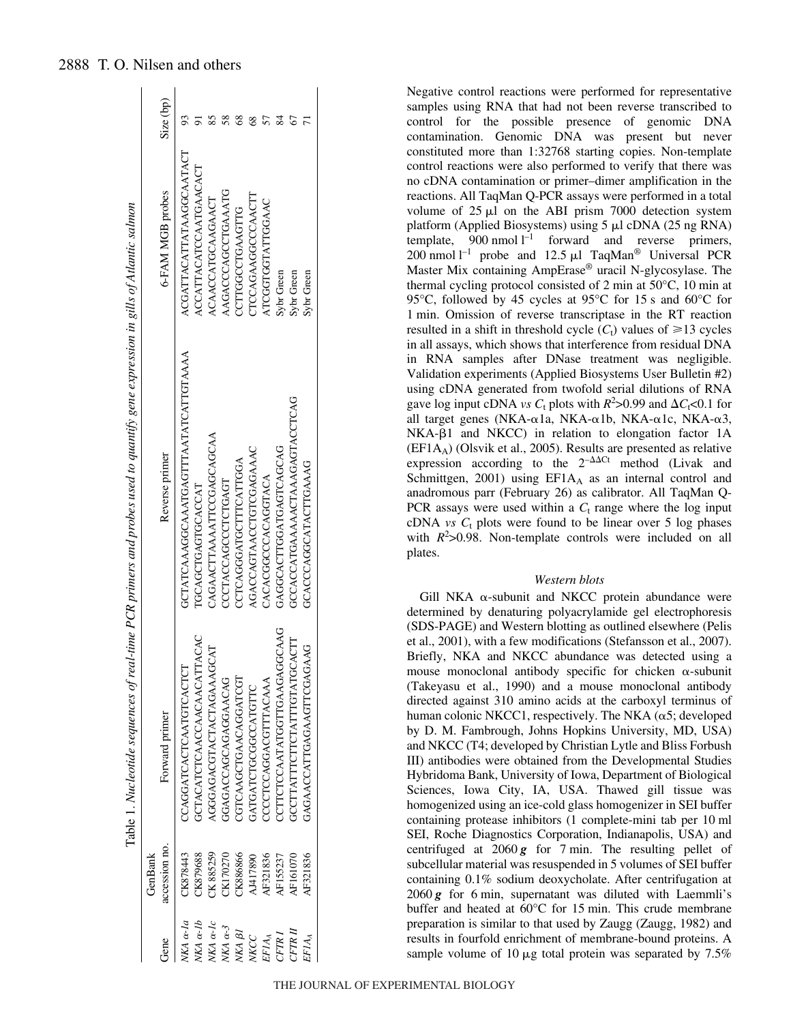|                     | GenBank         |                                    |                                       |                          |           |
|---------------------|-----------------|------------------------------------|---------------------------------------|--------------------------|-----------|
| Gene                | accession no.   | Forward primer                     | Reverse primer                        | 6-FAM MGB probes         | Size (bp) |
| JKA a-la            | CK878443        | CCAGGATCACTCAATGTCACTCT            | GCTATCAAAGGCAAATGAGTTTAATATCATTGTAAAA | ACGATTACATTATAAGGCAATACT |           |
| $VKA \alpha -1b$    | CK879688        | GCTACATCTCAACCAACAACATTACAC        | TGCAGCTGAGTGCACCAT                    | ACCATTACATCCAATGAACACT   |           |
| $VKA \alpha$ - $1c$ | CK885259        | AGGGAGACGTACTAGAAAGCAT             | CAGAACTTAAATTCCGAGCAGCAA              | <b>ACAACCATGCAAGAACT</b> |           |
| $WAA \ \alpha-3$    | CK170270        | GGAGACCAGCAGGAACAG                 | CCCTACCAGCCTCTGAGT                    | AAGACCCAGCCTGAAATG       |           |
| NKA BI              | CK886866        | CGTCAAGCTGAACAGGATCGT              | CCTCAGGGATGCTTTCATTGGA                | CCTTGGCCTGAAGTTG         |           |
| <b>NECC</b>         | AJ417890        | GATGATCTGCGGCCATGTTC               | AGACCAGTAACCTGTCGAGAAAC               | CTCCAGAAGCCCAACTT        |           |
| EF1AA               | AF321836        | CCCCCCAGGACGTTTACAAA               | CACACGGCCACAGGTACA                    | ATCGGTGGTATTGGAAC        |           |
| CFTRI               | AF155237        | CCTTCCCAATATGGTTGAAGGGCAAG         | GAGGCACTTGGATGAGCAGCAG                | Sybr Green               |           |
| CFTRII              | <b>AF161070</b> | <b>GCCTTATTTCTTCTATTGTATGCACTT</b> | GCCACCATGAAAACTAAAGAGTACCTCAG         | Sybr Green               |           |
| EF1AA               | AF321836        | GAGAACCATTGAGAAGTTCGAGAAG          | GCACCCAGGCATACTTGAAAG                 | Sybr Green               |           |

Negative control reactions were performed for representative samples using RNA that had not been reverse transcribed to control for the possible presence of genomic DNA contamination. Genomic DNA was present but never constituted more than 1:32768 starting copies. Non-template control reactions were also performed to verify that there was no cDNA contamination or primer–dimer amplification in the reactions. All TaqMan Q-PCR assays were performed in a total volume of  $25 \mu l$  on the ABI prism 7000 detection system platform (Applied Biosystems) using  $5 \mu l$  cDNA (25 ng RNA) template,  $900$  nmol  $l^{-1}$  forward and reverse primers, 200 nmol  $l^{-1}$  probe and 12.5  $\mu$ l TaqMan<sup>®</sup> Universal PCR Master Mix containing AmpErase® uracil N-glycosylase. The thermal cycling protocol consisted of 2 min at  $50^{\circ}$ C, 10 min at 95 $\degree$ C, followed by 45 cycles at 95 $\degree$ C for 15 s and 60 $\degree$ C for 1 min. Omission of reverse transcriptase in the RT reaction resulted in a shift in threshold cycle  $(C_t)$  values of  $\geq 13$  cycles in all assays, which shows that interference from residual DNA in RNA samples after DNase treatment was negligible. Validation experiments (Applied Biosystems User Bulletin #2) using cDNA generated from twofold serial dilutions of RNA gave log input cDNA *vs*  $C_t$  plots with  $R^2 > 0.99$  and  $\Delta C_t < 0.1$  for all target genes (NKA- $\alpha$ 1a, NKA- $\alpha$ 1b, NKA- $\alpha$ 1c, NKA- $\alpha$ 3,  $NKA- $\beta$ 1$  and  $NKCC$ ) in relation to elongation factor 1A (EF1AA) (Olsvik et al., 2005). Results are presented as relative expression according to the  $2^{-\Delta\Delta Ct}$  method (Livak and Schmittgen, 2001) using  $EFA<sub>A</sub>$  as an internal control and anadromous parr (February 26) as calibrator. All TaqMan Q-PCR assays were used within a  $C_t$  range where the log input cDNA *vs*  $C_t$  plots were found to be linear over 5 log phases with  $R^2 > 0.98$ . Non-template controls were included on all plates.

# *Western blots*

Gill NKA  $\alpha$ -subunit and NKCC protein abundance were determined by denaturing polyacrylamide gel electrophoresis (SDS-PAGE) and Western blotting as outlined elsewhere (Pelis et al., 2001), with a few modifications (Stefansson et al., 2007). Briefly, NKA and NKCC abundance was detected using a mouse monoclonal antibody specific for chicken  $\alpha$ -subunit (Takeyasu et al., 1990) and a mouse monoclonal antibody directed against 310 amino acids at the carboxyl terminus of human colonic NKCC1, respectively. The NKA  $(\alpha 5;$  developed by D. M. Fambrough, Johns Hopkins University, MD, USA) and NKCC (T4; developed by Christian Lytle and Bliss Forbush III) antibodies were obtained from the Developmental Studies Hybridoma Bank, University of Iowa, Department of Biological Sciences, Iowa City, IA, USA. Thawed gill tissue was homogenized using an ice-cold glass homogenizer in SEI buffer containing protease inhibitors (1 complete-mini tab per 10 ml SEI, Roche Diagnostics Corporation, Indianapolis, USA) and centrifuged at  $2060g$  for 7 min. The resulting pellet of subcellular material was resuspended in 5 volumes of SEI buffer containing 0.1% sodium deoxycholate. After centrifugation at  $2060\,\text{g}$  for 6 min, supernatant was diluted with Laemmli's buffer and heated at  $60^{\circ}$ C for 15 min. This crude membrane preparation is similar to that used by Zaugg (Zaugg, 1982) and results in fourfold enrichment of membrane-bound proteins. A sample volume of 10  $\mu$ g total protein was separated by 7.5%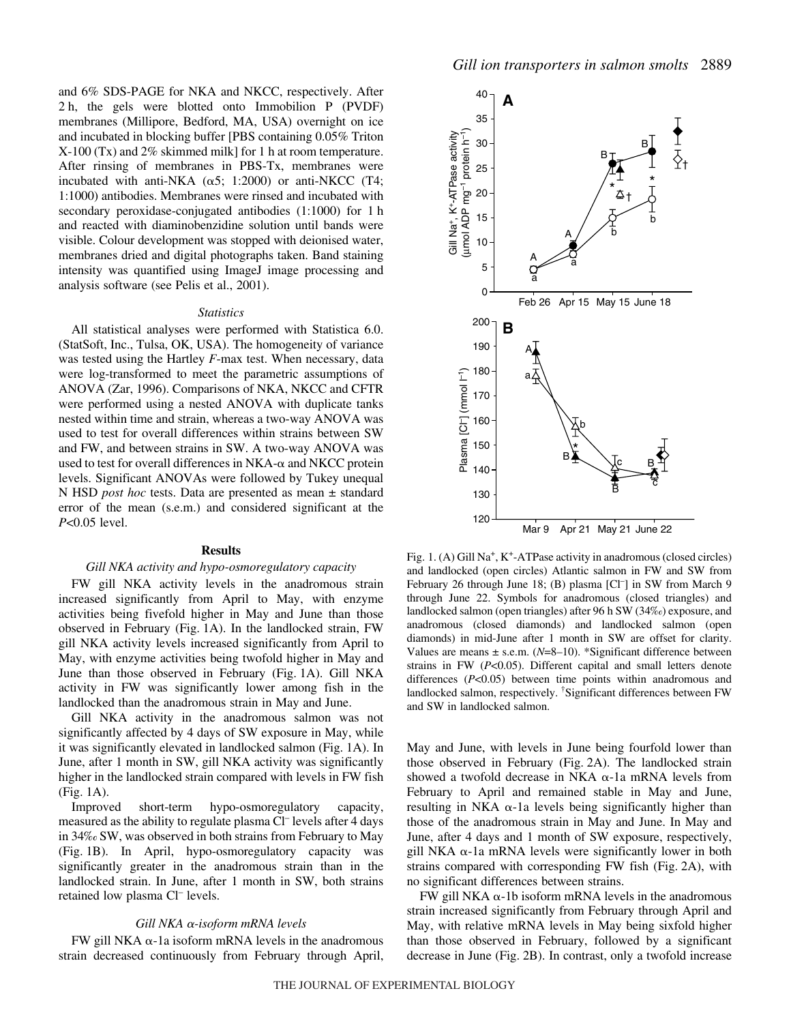and 6% SDS-PAGE for NKA and NKCC, respectively. After 2 h, the gels were blotted onto Immobilion P (PVDF) membranes (Millipore, Bedford, MA, USA) overnight on ice and incubated in blocking buffer [PBS containing 0.05% Triton  $X-100$  (Tx) and 2% skimmed milk] for 1 h at room temperature. After rinsing of membranes in PBS-Tx, membranes were incubated with anti-NKA  $(\alpha 5; 1:2000)$  or anti-NKCC (T4; 1:1000) antibodies. Membranes were rinsed and incubated with secondary peroxidase-conjugated antibodies  $(1:1000)$  for 1 h and reacted with diaminobenzidine solution until bands were visible. Colour development was stopped with deionised water, membranes dried and digital photographs taken. Band staining intensity was quantified using ImageJ image processing and analysis software (see Pelis et al., 2001).

#### *Statistics*

All statistical analyses were performed with Statistica 6.0. (StatSoft, Inc., Tulsa, OK, USA). The homogeneity of variance was tested using the Hartley *F*-max test. When necessary, data were log-transformed to meet the parametric assumptions of ANOVA (Zar, 1996). Comparisons of NKA, NKCC and CFTR were performed using a nested ANOVA with duplicate tanks nested within time and strain, whereas a two-way ANOVA was used to test for overall differences within strains between SW and FW, and between strains in SW. A two-way ANOVA was used to test for overall differences in  $NKA$ - $\alpha$  and  $NKCC$  protein levels. Significant ANOVAs were followed by Tukey unequal N HSD *post hoc* tests. Data are presented as mean ± standard error of the mean (s.e.m.) and considered significant at the *P*<0.05 level.

#### **Results**

#### *Gill NKA activity and hypo-osmoregulatory capacity*

FW gill NKA activity levels in the anadromous strain increased significantly from April to May, with enzyme activities being fivefold higher in May and June than those observed in February (Fig. 1A). In the landlocked strain, FW gill NKA activity levels increased significantly from April to May, with enzyme activities being twofold higher in May and June than those observed in February (Fig. 1A). Gill NKA activity in FW was significantly lower among fish in the landlocked than the anadromous strain in May and June.

Gill NKA activity in the anadromous salmon was not significantly affected by 4 days of SW exposure in May, while it was significantly elevated in landlocked salmon (Fig. 1A). In June, after 1 month in SW, gill NKA activity was significantly higher in the landlocked strain compared with levels in FW fish  $(Fig. 1A)$ .

Improved short-term hypo-osmoregulatory capacity, measured as the ability to regulate plasma Cl– levels after 4 days in 34‰ SW, was observed in both strains from February to May (Fig. 1B). In April, hypo-osmoregulatory capacity was significantly greater in the anadromous strain than in the landlocked strain. In June, after 1 month in SW, both strains retained low plasma Cl– levels.

### Gill NKA α-isoform mRNA levels

 $FW$  gill NKA  $\alpha$ -1a isoform mRNA levels in the anadromous strain decreased continuously from February through April,



Fig. 1. (A) Gill Na<sup>+</sup>, K<sup>+</sup>-ATPase activity in anadromous (closed circles) and landlocked (open circles) Atlantic salmon in FW and SW from February 26 through June 18; (B) plasma [Cl<sup>-</sup>] in SW from March 9 through June 22. Symbols for anadromous (closed triangles) and landlocked salmon (open triangles) after 96 h SW (34‰) exposure, and anadromous (closed diamonds) and landlocked salmon (open diamonds) in mid-June after 1 month in SW are offset for clarity. Values are means ± s.e.m. (*N*=8–10). \*Significant difference between strains in FW (*P*<0.05). Different capital and small letters denote differences (*P*<0.05) between time points within anadromous and landlocked salmon, respectively. † Significant differences between FW and SW in landlocked salmon.

May and June, with levels in June being fourfold lower than those observed in February (Fig. 2A). The landlocked strain showed a twofold decrease in NKA  $\alpha$ -1a mRNA levels from February to April and remained stable in May and June, resulting in NKA  $\alpha$ -1a levels being significantly higher than those of the anadromous strain in May and June. In May and June, after 4 days and 1 month of SW exposure, respectively,  $g$ ill NKA  $\alpha$ -1a mRNA levels were significantly lower in both strains compared with corresponding  $FW$  fish (Fig. 2A), with no significant differences between strains.

FW gill NKA  $\alpha$ -1b isoform mRNA levels in the anadromous strain increased significantly from February through April and May, with relative mRNA levels in May being sixfold higher than those observed in February, followed by a significant decrease in June (Fig. 2B). In contrast, only a twofold increase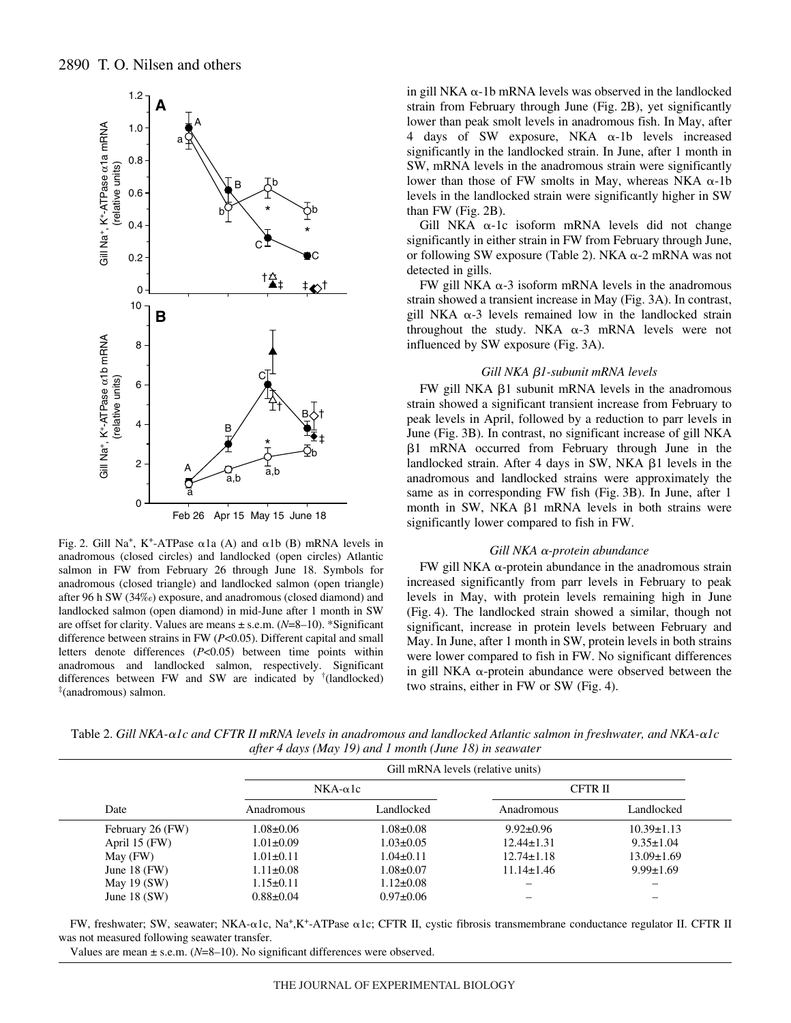

Fig. 2. Gill Na<sup>+</sup>, K<sup>+</sup>-ATPase  $\alpha$ 1a (A) and  $\alpha$ 1b (B) mRNA levels in anadromous (closed circles) and landlocked (open circles) Atlantic salmon in FW from February 26 through June 18. Symbols for anadromous (closed triangle) and landlocked salmon (open triangle) after 96 h SW (34‰) exposure, and anadromous (closed diamond) and landlocked salmon (open diamond) in mid-June after 1 month in SW are offset for clarity. Values are means ± s.e.m. (*N*=8–10). \*Significant difference between strains in FW (*P*<0.05). Different capital and small letters denote differences (*P*<0.05) between time points within anadromous and landlocked salmon, respectively. Significant differences between FW and SW are indicated by † (landlocked) ‡ (anadromous) salmon.

in gill NKA  $\alpha$ -1b mRNA levels was observed in the landlocked strain from February through June (Fig. 2B), yet significantly lower than peak smolt levels in anadromous fish. In May, after 4 days of SW exposure, NKA  $\alpha$ -1b levels increased significantly in the landlocked strain. In June, after 1 month in SW, mRNA levels in the anadromous strain were significantly lower than those of FW smolts in May, whereas NKA  $\alpha$ -1b levels in the landlocked strain were significantly higher in SW than  $FW$  (Fig.  $2B$ ).

Gill NKA  $\alpha$ -1c isoform mRNA levels did not change significantly in either strain in FW from February through June, or following SW exposure (Table 2). NKA  $\alpha$ -2 mRNA was not detected in gills.

FW gill NKA  $\alpha$ -3 isoform mRNA levels in the anadromous strain showed a transient increase in May (Fig. 3A). In contrast, gill NKA  $\alpha$ -3 levels remained low in the landlocked strain throughout the study. NKA  $\alpha$ -3 mRNA levels were not influenced by SW exposure (Fig. 3A).

### *Gill NKA 1-subunit mRNA levels*

 $FW$  gill NKA  $\beta$ 1 subunit mRNA levels in the anadromous strain showed a significant transient increase from February to peak levels in April, followed by a reduction to parr levels in June (Fig. 3B). In contrast, no significant increase of gill NKA  $\beta$ 1 mRNA occurred from February through June in the landlocked strain. After 4 days in SW, NKA  $\beta$ 1 levels in the anadromous and landlocked strains were approximately the same as in corresponding FW fish (Fig. 3B). In June, after 1 month in SW, NKA  $\beta$ 1 mRNA levels in both strains were significantly lower compared to fish in FW.

### **Gill NKA** α-protein abundance

FW gill NKA  $\alpha$ -protein abundance in the anadromous strain increased significantly from parr levels in February to peak levels in May, with protein levels remaining high in June (Fig. 4). The landlocked strain showed a similar, though not significant, increase in protein levels between February and May. In June, after 1 month in SW, protein levels in both strains were lower compared to fish in FW. No significant differences in gill NKA  $\alpha$ -protein abundance were observed between the two strains, either in FW or SW (Fig. 4).

Table 2. Gill NKA- $\alpha$ Ic and CFTR II mRNA levels in anadromous and landlocked Atlantic salmon in freshwater, and NKA- $\alpha$ Ic *after 4 days (May 19) and 1 month (June 18) in seawater* 

| Date             | Gill mRNA levels (relative units) |                 |                  |                  |  |
|------------------|-----------------------------------|-----------------|------------------|------------------|--|
|                  | $NKA-\alpha$ <sub>1</sub> c       |                 | CFTR II          |                  |  |
|                  | Anadromous                        | Landlocked      | Anadromous       | Landlocked       |  |
| February 26 (FW) | $1.08 \pm 0.06$                   | $1.08 \pm 0.08$ | $9.92 \pm 0.96$  | $10.39 \pm 1.13$ |  |
| April $15$ (FW)  | $1.01 \pm 0.09$                   | $1.03 \pm 0.05$ | $12.44 \pm 1.31$ | $9.35 \pm 1.04$  |  |
| May (FW)         | $1.01 \pm 0.11$                   | $1.04 \pm 0.11$ | $12.74 \pm 1.18$ | $13.09 \pm 1.69$ |  |
| June 18 $(FW)$   | $1.11 \pm 0.08$                   | $1.08 \pm 0.07$ | $11.14 \pm 1.46$ | $9.99 \pm 1.69$  |  |
| May 19 $(SW)$    | $1.15 \pm 0.11$                   | $1.12 \pm 0.08$ |                  |                  |  |
| June $18$ (SW)   | $0.88 \pm 0.04$                   | $0.97 \pm 0.06$ |                  |                  |  |

FW, freshwater; SW, seawater; NKA- $\alpha$ 1c, Na<sup>+</sup>,K<sup>+</sup>-ATPase  $\alpha$ 1c; CFTR II, cystic fibrosis transmembrane conductance regulator II. CFTR II was not measured following seawater transfer.

Values are mean  $\pm$  s.e.m. ( $N=8-10$ ). No significant differences were observed.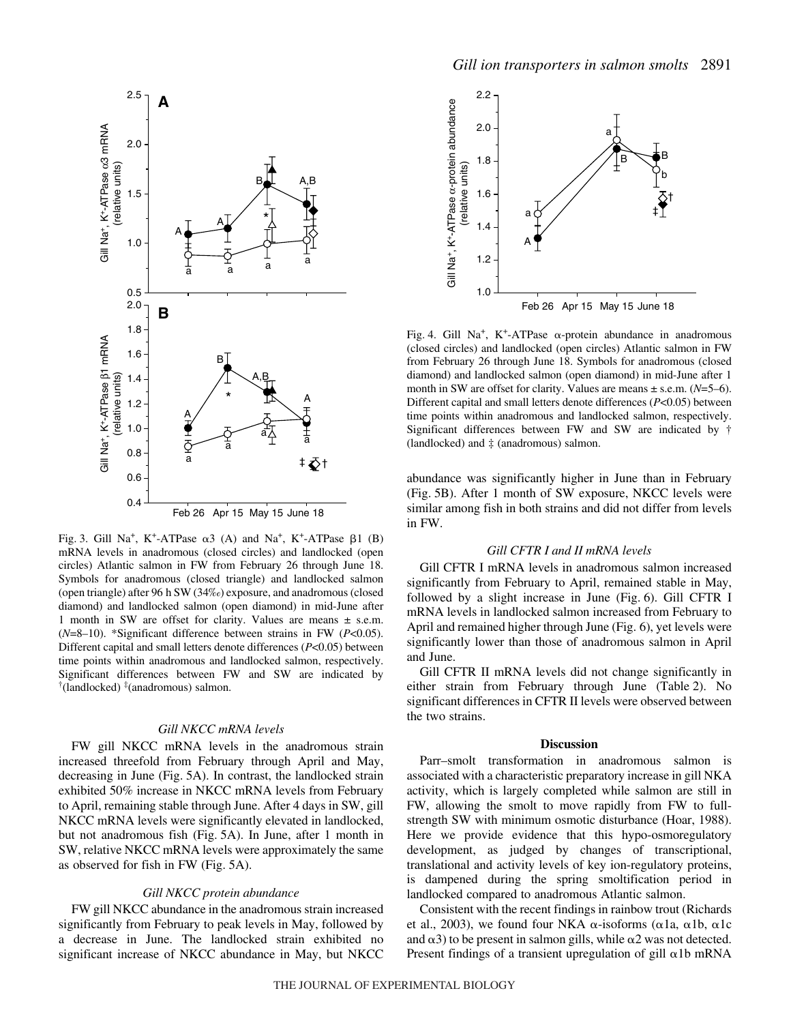

Fig. 3. Gill Na<sup>+</sup>, K<sup>+</sup>-ATPase  $\alpha$ 3 (A) and Na<sup>+</sup>, K<sup>+</sup>-ATPase  $\beta$ 1 (B) mRNA levels in anadromous (closed circles) and landlocked (open circles) Atlantic salmon in FW from February 26 through June 18. Symbols for anadromous (closed triangle) and landlocked salmon (open triangle) after 96 h SW  $(34\%)$  exposure, and anadromous (closed diamond) and landlocked salmon (open diamond) in mid-June after 1 month in SW are offset for clarity. Values are means ± s.e.m. (*N*=8–10). \*Significant difference between strains in FW (*P*<0.05). Different capital and small letters denote differences (*P*<0.05) between time points within anadromous and landlocked salmon, respectively. Significant differences between FW and SW are indicated by † (landlocked) ‡ (anadromous) salmon.

#### *Gill NKCC mRNA levels*

FW gill NKCC mRNA levels in the anadromous strain increased threefold from February through April and May, decreasing in June (Fig. 5A). In contrast, the landlocked strain exhibited 50% increase in NKCC mRNA levels from February to April, remaining stable through June. After 4 days in SW, gill NKCC mRNA levels were significantly elevated in landlocked, but not anadromous fish (Fig. 5A). In June, after 1 month in SW, relative NKCC mRNA levels were approximately the same as observed for fish in FW (Fig. 5A).

## *Gill NKCC protein abundance*

FW gill NKCC abundance in the anadromous strain increased significantly from February to peak levels in May, followed by a decrease in June. The landlocked strain exhibited no significant increase of NKCC abundance in May, but NKCC



Fig. 4. Gill Na<sup>+</sup>, K<sup>+</sup>-ATPase  $\alpha$ -protein abundance in anadromous (closed circles) and landlocked (open circles) Atlantic salmon in FW from February 26 through June 18. Symbols for anadromous (closed diamond) and landlocked salmon (open diamond) in mid-June after 1 month in SW are offset for clarity. Values are means ± s.e.m. (*N*=5–6). Different capital and small letters denote differences (*P*<0.05) between time points within anadromous and landlocked salmon, respectively. Significant differences between FW and SW are indicated by † (landlocked) and ‡ (anadromous) salmon.

abundance was significantly higher in June than in February (Fig. 5B). After 1 month of SW exposure, NKCC levels were similar among fish in both strains and did not differ from levels in FW.

### *Gill CFTR I and II mRNA levels*

Gill CFTR I mRNA levels in anadromous salmon increased significantly from February to April, remained stable in May, followed by a slight increase in June (Fig.  $6$ ). Gill CFTR I mRNA levels in landlocked salmon increased from February to April and remained higher through June (Fig. 6), yet levels were significantly lower than those of anadromous salmon in April and June.

Gill CFTR II mRNA levels did not change significantly in either strain from February through June (Table 2). No significant differences in CFTR II levels were observed between the two strains.

#### **Discussion**

Parr–smolt transformation in anadromous salmon is associated with a characteristic preparatory increase in gill NKA activity, which is largely completed while salmon are still in FW, allowing the smolt to move rapidly from FW to fullstrength SW with minimum osmotic disturbance (Hoar, 1988). Here we provide evidence that this hypo-osmoregulatory development, as judged by changes of transcriptional, translational and activity levels of key ion-regulatory proteins, is dampened during the spring smoltification period in landlocked compared to anadromous Atlantic salmon.

Consistent with the recent findings in rainbow trout (Richards et al., 2003), we found four NKA  $\alpha$ -isoforms ( $\alpha$ 1a,  $\alpha$ 1b,  $\alpha$ 1c and  $\alpha$ 3) to be present in salmon gills, while  $\alpha$ 2 was not detected. Present findings of a transient upregulation of gill  $\alpha$ 1b mRNA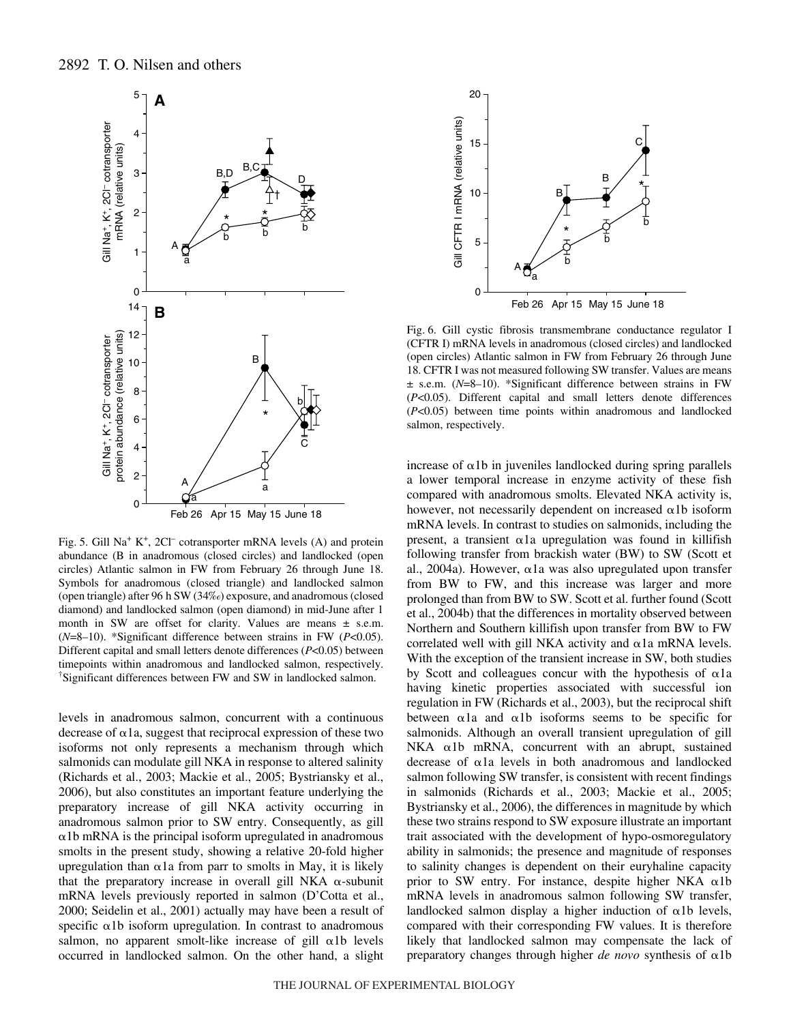

Fig. 5. Gill Na<sup>+</sup> K<sup>+</sup>, 2Cl<sup>–</sup> cotransporter mRNA levels (A) and protein abundance (B in anadromous (closed circles) and landlocked (open circles) Atlantic salmon in FW from February 26 through June 18. Symbols for anadromous (closed triangle) and landlocked salmon (open triangle) after 96 h SW (34‰) exposure, and anadromous (closed diamond) and landlocked salmon (open diamond) in mid-June after 1 month in SW are offset for clarity. Values are means  $\pm$  s.e.m. (*N*=8–10). \*Significant difference between strains in FW (*P*<0.05). Different capital and small letters denote differences (*P*<0.05) between timepoints within anadromous and landlocked salmon, respectively. † Significant differences between FW and SW in landlocked salmon.

levels in anadromous salmon, concurrent with a continuous decrease of  $\alpha$ 1a, suggest that reciprocal expression of these two isoforms not only represents a mechanism through which salmonids can modulate gill NKA in response to altered salinity (Richards et al., 2003; Mackie et al., 2005; Bystriansky et al., 2006), but also constitutes an important feature underlying the preparatory increase of gill NKA activity occurring in anadromous salmon prior to SW entry. Consequently, as gill  $\alpha$ 1b mRNA is the principal isoform upregulated in anadromous smolts in the present study, showing a relative 20-fold higher upregulation than  $\alpha$ 1a from parr to smolts in May, it is likely that the preparatory increase in overall gill NKA  $\alpha$ -subunit mRNA levels previously reported in salmon (D'Cotta et al., 2000; Seidelin et al., 2001) actually may have been a result of specific  $\alpha$ 1b isoform upregulation. In contrast to anadromous salmon, no apparent smolt-like increase of gill  $\alpha$ 1b levels occurred in landlocked salmon. On the other hand, a slight



Fig. 6. Gill cystic fibrosis transmembrane conductance regulator I (CFTR I) mRNA levels in anadromous (closed circles) and landlocked (open circles) Atlantic salmon in FW from February 26 through June 18. CFTR I was not measured following SW transfer. Values are means ± s.e.m. (*N*=8–10). \*Significant difference between strains in FW (*P*<0.05). Different capital and small letters denote differences (*P*<0.05) between time points within anadromous and landlocked salmon, respectively.

increase of  $\alpha$ 1b in juveniles landlocked during spring parallels a lower temporal increase in enzyme activity of these fish compared with anadromous smolts. Elevated NKA activity is, however, not necessarily dependent on increased  $\alpha$ 1b isoform mRNA levels. In contrast to studies on salmonids, including the present, a transient  $\alpha$ 1a upregulation was found in killifish following transfer from brackish water (BW) to SW (Scott et al., 2004a). However,  $\alpha$ 1a was also upregulated upon transfer from BW to FW, and this increase was larger and more prolonged than from BW to SW. Scott et al. further found (Scott et al., 2004b) that the differences in mortality observed between Northern and Southern killifish upon transfer from BW to FW correlated well with gill NKA activity and  $\alpha$ 1a mRNA levels. With the exception of the transient increase in SW, both studies by Scott and colleagues concur with the hypothesis of  $\alpha$ 1a having kinetic properties associated with successful ion regulation in FW (Richards et al., 2003), but the reciprocal shift between  $\alpha$ 1a and  $\alpha$ 1b isoforms seems to be specific for salmonids. Although an overall transient upregulation of gill  $NKA$   $\alpha 1b$  mRNA, concurrent with an abrupt, sustained decrease of  $\alpha$ 1a levels in both anadromous and landlocked salmon following SW transfer, is consistent with recent findings in salmonids (Richards et al., 2003; Mackie et al., 2005; Bystriansky et al., 2006), the differences in magnitude by which these two strains respond to SW exposure illustrate an important trait associated with the development of hypo-osmoregulatory ability in salmonids; the presence and magnitude of responses to salinity changes is dependent on their euryhaline capacity prior to SW entry. For instance, despite higher NKA  $\alpha$ 1b mRNA levels in anadromous salmon following SW transfer, landlocked salmon display a higher induction of  $\alpha$ 1b levels, compared with their corresponding FW values. It is therefore likely that landlocked salmon may compensate the lack of preparatory changes through higher  $de novo$  synthesis of  $\alpha 1b$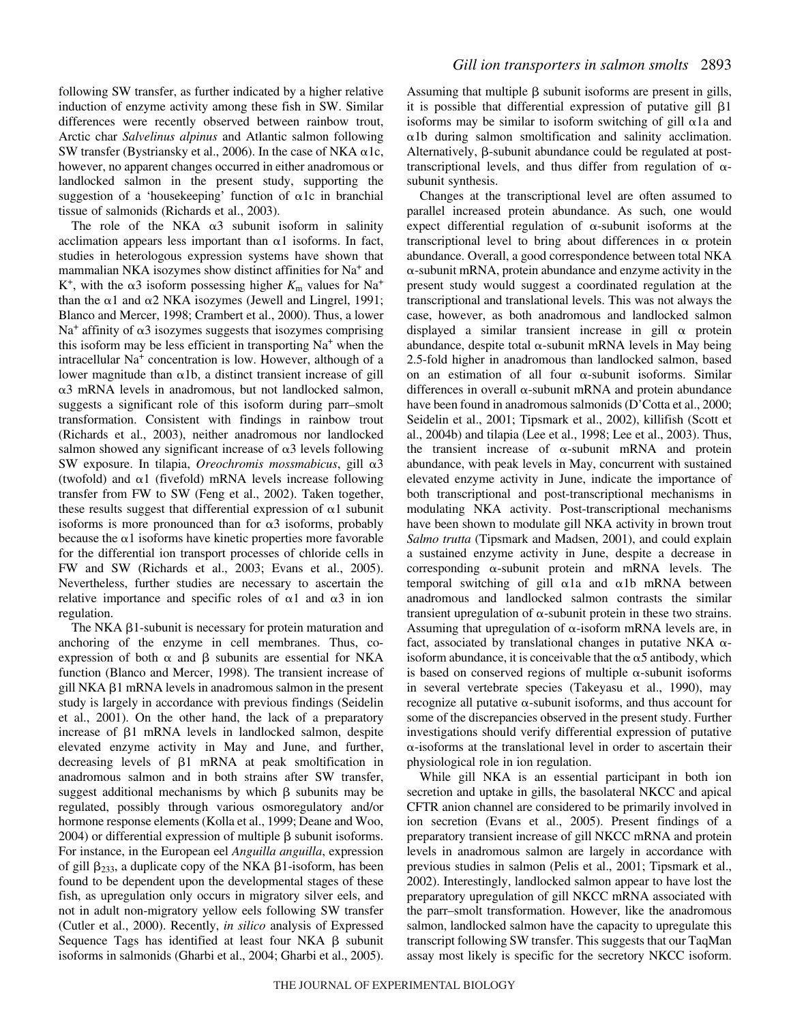following SW transfer, as further indicated by a higher relative induction of enzyme activity among these fish in SW. Similar differences were recently observed between rainbow trout, Arctic char *Salvelinus alpinus* and Atlantic salmon following SW transfer (Bystriansky et al., 2006). In the case of NKA  $\alpha$ 1c, however, no apparent changes occurred in either anadromous or landlocked salmon in the present study, supporting the suggestion of a 'housekeeping' function of  $\alpha$ 1c in branchial tissue of salmonids (Richards et al., 2003).

The role of the NKA  $\alpha$ 3 subunit isoform in salinity acclimation appears less important than  $\alpha$ 1 isoforms. In fact, studies in heterologous expression systems have shown that mammalian NKA isozymes show distinct affinities for Na+ and  $K^+$ , with the  $\alpha$ 3 isoform possessing higher  $K_m$  values for Na<sup>+</sup> than the  $\alpha$ 1 and  $\alpha$ 2 NKA isozymes (Jewell and Lingrel, 1991; Blanco and Mercer, 1998; Crambert et al., 2000). Thus, a lower  $Na<sup>+</sup>$  affinity of  $\alpha$ 3 isozymes suggests that isozymes comprising this isoform may be less efficient in transporting  $Na<sup>+</sup>$  when the intracellular Na<sup>+</sup> concentration is low. However, although of a lower magnitude than  $\alpha$ 1b, a distinct transient increase of gill  $\alpha$ 3 mRNA levels in anadromous, but not landlocked salmon, suggests a significant role of this isoform during parr–smolt transformation. Consistent with findings in rainbow trout (Richards et al., 2003), neither anadromous nor landlocked salmon showed any significant increase of  $\alpha$ 3 levels following SW exposure. In tilapia, Oreochromis mossmabicus, gill α3 (twofold) and  $\alpha$ 1 (fivefold) mRNA levels increase following transfer from FW to SW (Feng et al., 2002). Taken together, these results suggest that differential expression of  $\alpha$ 1 subunit isoforms is more pronounced than for  $\alpha$ 3 isoforms, probably because the  $\alpha$ 1 isoforms have kinetic properties more favorable for the differential ion transport processes of chloride cells in FW and SW (Richards et al., 2003; Evans et al., 2005). Nevertheless, further studies are necessary to ascertain the relative importance and specific roles of  $\alpha$ 1 and  $\alpha$ 3 in ion regulation.

The NKA  $\beta$ 1-subunit is necessary for protein maturation and anchoring of the enzyme in cell membranes. Thus, coexpression of both  $\alpha$  and  $\beta$  subunits are essential for NKA function (Blanco and Mercer, 1998). The transient increase of gill NKA  $\beta$ 1 mRNA levels in anadromous salmon in the present study is largely in accordance with previous findings (Seidelin et al., 2001). On the other hand, the lack of a preparatory increase of  $\beta$ 1 mRNA levels in landlocked salmon, despite elevated enzyme activity in May and June, and further, decreasing levels of  $\beta$ 1 mRNA at peak smoltification in anadromous salmon and in both strains after SW transfer, suggest additional mechanisms by which  $\beta$  subunits may be regulated, possibly through various osmoregulatory and/or hormone response elements (Kolla et al., 1999; Deane and Woo, 2004) or differential expression of multiple  $\beta$  subunit isoforms. For instance, in the European eel *Anguilla anguilla*, expression of gill  $\beta_{233}$ , a duplicate copy of the NKA  $\beta$ 1-isoform, has been found to be dependent upon the developmental stages of these fish, as upregulation only occurs in migratory silver eels, and not in adult non-migratory yellow eels following SW transfer (Cutler et al., 2000). Recently, *in silico* analysis of Expressed Sequence Tags has identified at least four  $NKA$   $\beta$  subunit isoforms in salmonids (Gharbi et al., 2004; Gharbi et al., 2005).

Assuming that multiple  $\beta$  subunit isoforms are present in gills, it is possible that differential expression of putative gill  $\beta$ 1 isoforms may be similar to isoform switching of gill  $\alpha$ 1a and -1b during salmon smoltification and salinity acclimation. Alternatively,  $\beta$ -subunit abundance could be regulated at posttranscriptional levels, and thus differ from regulation of  $\alpha$ subunit synthesis.

Changes at the transcriptional level are often assumed to parallel increased protein abundance. As such, one would expect differential regulation of  $\alpha$ -subunit isoforms at the transcriptional level to bring about differences in  $\alpha$  protein abundance. Overall, a good correspondence between total NKA  $\alpha$ -subunit mRNA, protein abundance and enzyme activity in the present study would suggest a coordinated regulation at the transcriptional and translational levels. This was not always the case, however, as both anadromous and landlocked salmon displayed a similar transient increase in gill  $\alpha$  protein abundance, despite total  $\alpha$ -subunit mRNA levels in May being 2.5-fold higher in anadromous than landlocked salmon, based on an estimation of all four  $\alpha$ -subunit isoforms. Similar differences in overall  $\alpha$ -subunit mRNA and protein abundance have been found in anadromous salmonids (D'Cotta et al., 2000; Seidelin et al., 2001; Tipsmark et al., 2002), killifish (Scott et al., 2004b) and tilapia (Lee et al., 1998; Lee et al., 2003). Thus, the transient increase of  $\alpha$ -subunit mRNA and protein abundance, with peak levels in May, concurrent with sustained elevated enzyme activity in June, indicate the importance of both transcriptional and post-transcriptional mechanisms in modulating NKA activity. Post-transcriptional mechanisms have been shown to modulate gill NKA activity in brown trout *Salmo trutta* (Tipsmark and Madsen, 2001), and could explain a sustained enzyme activity in June, despite a decrease in corresponding  $\alpha$ -subunit protein and mRNA levels. The temporal switching of gill  $\alpha$ 1a and  $\alpha$ 1b mRNA between anadromous and landlocked salmon contrasts the similar transient upregulation of  $\alpha$ -subunit protein in these two strains. Assuming that upregulation of  $\alpha$ -isoform mRNA levels are, in fact, associated by translational changes in putative NKA  $\alpha$ isoform abundance, it is conceivable that the  $\alpha$ 5 antibody, which is based on conserved regions of multiple  $\alpha$ -subunit isoforms in several vertebrate species (Takeyasu et al., 1990), may recognize all putative  $\alpha$ -subunit isoforms, and thus account for some of the discrepancies observed in the present study. Further investigations should verify differential expression of putative --isoforms at the translational level in order to ascertain their physiological role in ion regulation.

While gill NKA is an essential participant in both ion secretion and uptake in gills, the basolateral NKCC and apical CFTR anion channel are considered to be primarily involved in ion secretion (Evans et al., 2005). Present findings of a preparatory transient increase of gill NKCC mRNA and protein levels in anadromous salmon are largely in accordance with previous studies in salmon (Pelis et al., 2001; Tipsmark et al., 2002). Interestingly, landlocked salmon appear to have lost the preparatory upregulation of gill NKCC mRNA associated with the parr–smolt transformation. However, like the anadromous salmon, landlocked salmon have the capacity to upregulate this transcript following SW transfer. This suggests that our TaqMan assay most likely is specific for the secretory NKCC isoform.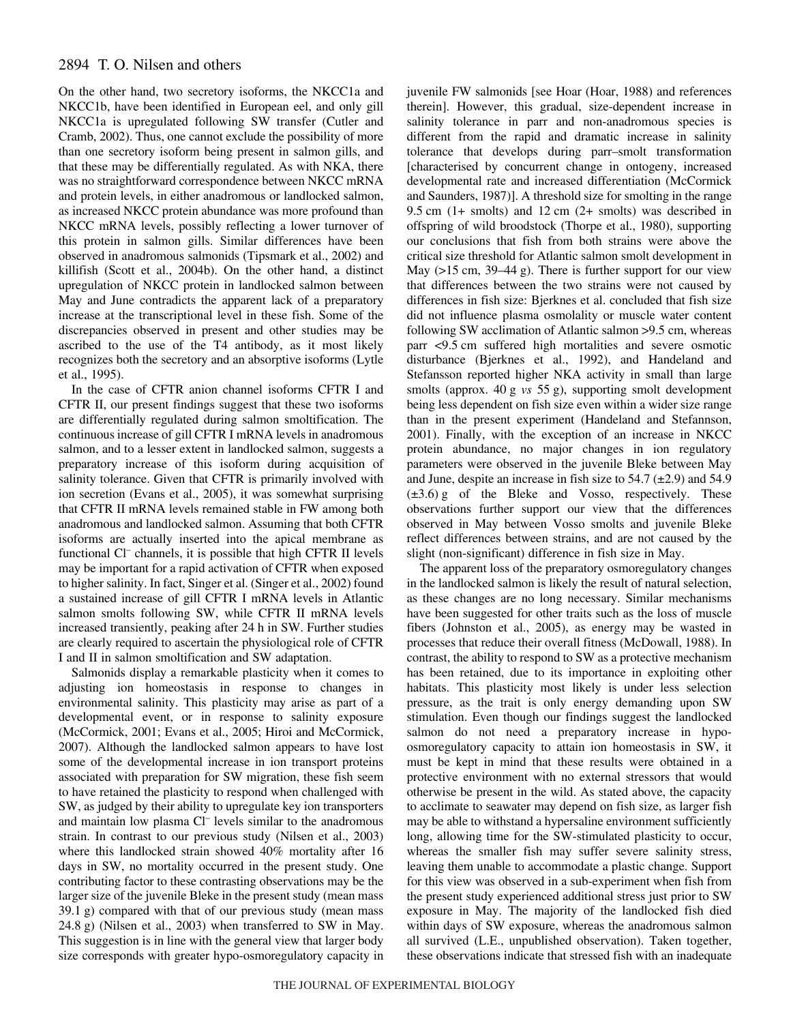# 2894 T. O. Nilsen and others

On the other hand, two secretory isoforms, the NKCC1a and NKCC1b, have been identified in European eel, and only gill NKCC1a is upregulated following SW transfer (Cutler and Cramb, 2002). Thus, one cannot exclude the possibility of more than one secretory isoform being present in salmon gills, and that these may be differentially regulated. As with NKA, there was no straightforward correspondence between NKCC mRNA and protein levels, in either anadromous or landlocked salmon, as increased NKCC protein abundance was more profound than NKCC mRNA levels, possibly reflecting a lower turnover of this protein in salmon gills. Similar differences have been observed in anadromous salmonids (Tipsmark et al., 2002) and killifish (Scott et al., 2004b). On the other hand, a distinct upregulation of NKCC protein in landlocked salmon between May and June contradicts the apparent lack of a preparatory increase at the transcriptional level in these fish. Some of the discrepancies observed in present and other studies may be ascribed to the use of the T4 antibody, as it most likely recognizes both the secretory and an absorptive isoforms (Lytle et al., 1995).

In the case of CFTR anion channel isoforms CFTR I and CFTR II, our present findings suggest that these two isoforms are differentially regulated during salmon smoltification. The continuous increase of gill CFTR I mRNA levels in anadromous salmon, and to a lesser extent in landlocked salmon, suggests a preparatory increase of this isoform during acquisition of salinity tolerance. Given that CFTR is primarily involved with ion secretion (Evans et al., 2005), it was somewhat surprising that CFTR II mRNA levels remained stable in FW among both anadromous and landlocked salmon. Assuming that both CFTR isoforms are actually inserted into the apical membrane as functional Cl<sup>-</sup> channels, it is possible that high CFTR II levels may be important for a rapid activation of CFTR when exposed to higher salinity. In fact, Singer et al. (Singer et al., 2002) found a sustained increase of gill CFTR I mRNA levels in Atlantic salmon smolts following SW, while CFTR II mRNA levels increased transiently, peaking after 24 h in SW. Further studies are clearly required to ascertain the physiological role of CFTR I and II in salmon smoltification and SW adaptation.

Salmonids display a remarkable plasticity when it comes to adjusting ion homeostasis in response to changes in environmental salinity. This plasticity may arise as part of a developmental event, or in response to salinity exposure (McCormick, 2001; Evans et al., 2005; Hiroi and McCormick, 2007). Although the landlocked salmon appears to have lost some of the developmental increase in ion transport proteins associated with preparation for SW migration, these fish seem to have retained the plasticity to respond when challenged with SW, as judged by their ability to upregulate key ion transporters and maintain low plasma Cl– levels similar to the anadromous strain. In contrast to our previous study (Nilsen et al., 2003) where this landlocked strain showed 40% mortality after 16 days in SW, no mortality occurred in the present study. One contributing factor to these contrasting observations may be the larger size of the juvenile Bleke in the present study (mean mass  $39.1\text{ g}$ ) compared with that of our previous study (mean mass  $24.8$  g) (Nilsen et al.,  $2003$ ) when transferred to SW in May. This suggestion is in line with the general view that larger body size corresponds with greater hypo-osmoregulatory capacity in juvenile FW salmonids [see Hoar (Hoar, 1988) and references therein]. However, this gradual, size-dependent increase in salinity tolerance in parr and non-anadromous species is different from the rapid and dramatic increase in salinity tolerance that develops during parr–smolt transformation [characterised by concurrent change in ontogeny, increased developmental rate and increased differentiation (McCormick and Saunders, 1987)]. A threshold size for smolting in the range 9.5 cm  $(1+$  smolts) and 12 cm  $(2+$  smolts) was described in offspring of wild broodstock (Thorpe et al., 1980), supporting our conclusions that fish from both strains were above the critical size threshold for Atlantic salmon smolt development in May  $(>15$  cm, 39–44 g). There is further support for our view that differences between the two strains were not caused by differences in fish size: Bjerknes et al. concluded that fish size did not influence plasma osmolality or muscle water content following SW acclimation of Atlantic salmon >9.5 cm, whereas parr <9.5 cm suffered high mortalities and severe osmotic disturbance (Bjerknes et al., 1992), and Handeland and Stefansson reported higher NKA activity in small than large smolts (approx. 40 g *vs* 55 g), supporting smolt development being less dependent on fish size even within a wider size range than in the present experiment (Handeland and Stefannson, 2001). Finally, with the exception of an increase in NKCC protein abundance, no major changes in ion regulatory parameters were observed in the juvenile Bleke between May and June, despite an increase in fish size to  $54.7 \ (\pm 2.9)$  and  $54.9$  $(\pm 3.6)$  g of the Bleke and Vosso, respectively. These observations further support our view that the differences observed in May between Vosso smolts and juvenile Bleke reflect differences between strains, and are not caused by the slight (non-significant) difference in fish size in May.

The apparent loss of the preparatory osmoregulatory changes in the landlocked salmon is likely the result of natural selection, as these changes are no long necessary. Similar mechanisms have been suggested for other traits such as the loss of muscle fibers (Johnston et al., 2005), as energy may be wasted in processes that reduce their overall fitness (McDowall, 1988). In contrast, the ability to respond to SW as a protective mechanism has been retained, due to its importance in exploiting other habitats. This plasticity most likely is under less selection pressure, as the trait is only energy demanding upon SW stimulation. Even though our findings suggest the landlocked salmon do not need a preparatory increase in hypoosmoregulatory capacity to attain ion homeostasis in SW, it must be kept in mind that these results were obtained in a protective environment with no external stressors that would otherwise be present in the wild. As stated above, the capacity to acclimate to seawater may depend on fish size, as larger fish may be able to withstand a hypersaline environment sufficiently long, allowing time for the SW-stimulated plasticity to occur, whereas the smaller fish may suffer severe salinity stress, leaving them unable to accommodate a plastic change. Support for this view was observed in a sub-experiment when fish from the present study experienced additional stress just prior to SW exposure in May. The majority of the landlocked fish died within days of SW exposure, whereas the anadromous salmon all survived (L.E., unpublished observation). Taken together, these observations indicate that stressed fish with an inadequate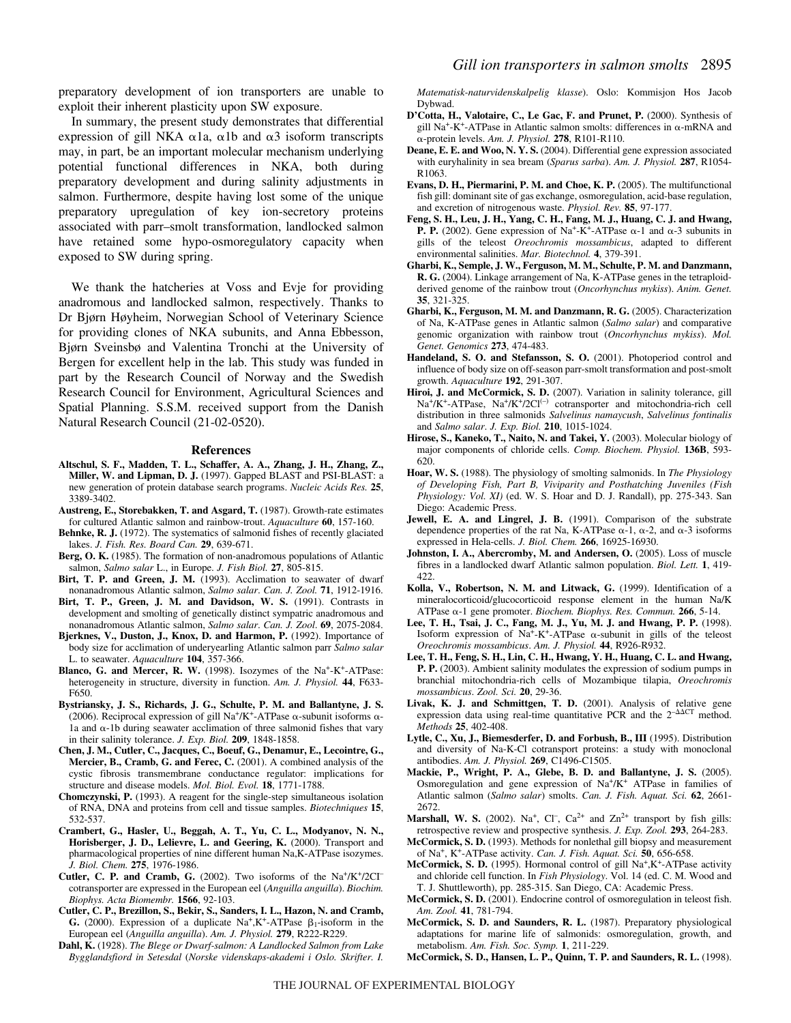preparatory development of ion transporters are unable to exploit their inherent plasticity upon SW exposure.

In summary, the present study demonstrates that differential expression of gill NKA  $\alpha$ 1a,  $\alpha$ 1b and  $\alpha$ 3 isoform transcripts may, in part, be an important molecular mechanism underlying potential functional differences in NKA, both during preparatory development and during salinity adjustments in salmon. Furthermore, despite having lost some of the unique preparatory upregulation of key ion-secretory proteins associated with parr–smolt transformation, landlocked salmon have retained some hypo-osmoregulatory capacity when exposed to SW during spring.

We thank the hatcheries at Voss and Evje for providing anadromous and landlocked salmon, respectively. Thanks to Dr Bjørn Høyheim, Norwegian School of Veterinary Science for providing clones of NKA subunits, and Anna Ebbesson, Bjørn Sveinsbø and Valentina Tronchi at the University of Bergen for excellent help in the lab. This study was funded in part by the Research Council of Norway and the Swedish Research Council for Environment, Agricultural Sciences and Spatial Planning. S.S.M. received support from the Danish Natural Research Council (21-02-0520).

#### **References**

- **Altschul, S. F., Madden, T. L., Schaffer, A. A., Zhang, J. H., Zhang, Z., Miller, W. and Lipman, D. J.** (1997). Gapped BLAST and PSI-BLAST: a new generation of protein database search programs. *Nucleic Acids Res.* **25**, 3389-3402.
- **Austreng, E., Storebakken, T. and Asgard, T.** (1987). Growth-rate estimates for cultured Atlantic salmon and rainbow-trout. *Aquaculture* **60**, 157-160.
- Behnke, R. J. (1972). The systematics of salmonid fishes of recently glaciated lakes. *J. Fish. Res. Board Can.* **29**, 639-671.
- **Berg, O. K.** (1985). The formation of non-anadromous populations of Atlantic salmon, *Salmo salar* L., in Europe. *J. Fish Biol.* **27**, 805-815.
- **Birt, T. P. and Green, J. M.** (1993). Acclimation to seawater of dwarf nonanadromous Atlantic salmon, *Salmo salar*. *Can. J. Zool.* **71**, 1912-1916.
- **Birt, T. P., Green, J. M. and Davidson, W. S.** (1991). Contrasts in development and smolting of genetically distinct sympatric anadromous and nonanadromous Atlantic salmon, *Salmo salar*. *Can. J. Zool*. **69**, 2075-2084.
- **Bjerknes, V., Duston, J., Knox, D. and Harmon, P.** (1992). Importance of body size for acclimation of underyearling Atlantic salmon parr *Salmo salar* L. to seawater. *Aquaculture* **104**, 357-366.
- **Blanco, G. and Mercer, R. W.** (1998). Isozymes of the Na<sup>+</sup>-K<sup>+</sup>-ATPase: heterogeneity in structure, diversity in function. *Am. J. Physiol.* **44**, F633- F650.
- **Bystriansky, J. S., Richards, J. G., Schulte, P. M. and Ballantyne, J. S.** (2006). Reciprocal expression of gill Na<sup>+</sup>/K<sup>+</sup>-ATPase  $\alpha$ -subunit isoforms  $\alpha$ -1a and  $\alpha$ -1b during seawater acclimation of three salmonid fishes that vary in their salinity tolerance. *J. Exp. Biol.* **209**, 1848-1858.
- **Chen, J. M., Cutler, C., Jacques, C., Boeuf, G., Denamur, E., Lecointre, G., Mercier, B., Cramb, G. and Ferec, C.** (2001). A combined analysis of the cystic fibrosis transmembrane conductance regulator: implications for structure and disease models. *Mol. Biol. Evol.* **18**, 1771-1788.
- **Chomczynski, P.** (1993). A reagent for the single-step simultaneous isolation of RNA, DNA and proteins from cell and tissue samples. *Biotechniques* **15**, 532-537.
- **Crambert, G., Hasler, U., Beggah, A. T., Yu, C. L., Modyanov, N. N., Horisberger, J. D., Lelievre, L. and Geering, K.** (2000). Transport and pharmacological properties of nine different human Na,K-ATPase isozymes. *J. Biol. Chem.* **275**, 1976-1986.
- **Cutler, C. P. and Cramb, G.** (2002). Two isoforms of the Na+/K+/2CI– cotransporter are expressed in the European eel (*Anguilla anguilla*). *Biochim. Biophys. Acta Biomembr.* **1566**, 92-103.
- **Cutler, C. P., Brezillon, S., Bekir, S., Sanders, I. L., Hazon, N. and Cramb, G.** (2000). Expression of a duplicate  $Na^+, K^+$ -ATPase  $\beta_1$ -isoform in the European eel (*Anguilla anguilla*). *Am. J. Physiol.* **279**, R222-R229.
- **Dahl, K.** (1928). *The Blege or Dwarf-salmon: A Landlocked Salmon from Lake Bygglandsfiord in Setesdal* (*Norske videnskaps-akademi i Oslo. Skrifter. I.*

*Matematisk-naturvidenskalpelig klasse*). Oslo: Kommisjon Hos Jacob Dybwad.

- **D'Cotta, H., Valotaire, C., Le Gac, F. and Prunet, P.** (2000). Synthesis of gill Na<sup>+</sup>-K<sup>+</sup>-ATPase in Atlantic salmon smolts: differences in  $\alpha$ -mRNA and --protein levels. *Am. J. Physiol.* **278**, R101-R110.
- **Deane, E. E. and Woo, N. Y. S.** (2004). Differential gene expression associated with euryhalinity in sea bream (*Sparus sarba*). *Am. J. Physiol.* **287**, R1054- R1063.
- **Evans, D. H., Piermarini, P. M. and Choe, K. P.** (2005). The multifunctional fish gill: dominant site of gas exchange, osmoregulation, acid-base regulation, and excretion of nitrogenous waste. *Physiol. Rev.* **85**, 97-177.
- **Feng, S. H., Leu, J. H., Yang, C. H., Fang, M. J., Huang, C. J. and Hwang, P. P.** (2002). Gene expression of Na<sup>+</sup>-K<sup>+</sup>-ATPase  $\alpha$ -1 and  $\alpha$ -3 subunits in gills of the teleost *Oreochromis mossambicus*, adapted to different environmental salinities. *Mar. Biotechnol.* **4**, 379-391.
- **Gharbi, K., Semple, J. W., Ferguson, M. M., Schulte, P. M. and Danzmann, R. G.** (2004). Linkage arrangement of Na, K-ATPase genes in the tetraploidderived genome of the rainbow trout (*Oncorhynchus mykiss*). *Anim. Genet.* **35**, 321-325.
- **Gharbi, K., Ferguson, M. M. and Danzmann, R. G.** (2005). Characterization of Na, K-ATPase genes in Atlantic salmon (*Salmo salar*) and comparative genomic organization with rainbow trout (*Oncorhynchus mykiss*). *Mol. Genet. Genomics* **273**, 474-483.
- **Handeland, S. O. and Stefansson, S. O.** (2001). Photoperiod control and influence of body size on off-season parr-smolt transformation and post-smolt growth. *Aquaculture* **192**, 291-307.
- **Hiroi, J. and McCormick, S. D.** (2007). Variation in salinity tolerance, gill Na<sup>+</sup>/K<sup>+</sup>-ATPase, Na<sup>+</sup>/K<sup>+</sup>/2Cl<sup>(-)</sup> cotransporter and mitochondria-rich cell distribution in three salmonids *Salvelinus namaycush*, *Salvelinus fontinalis* and *Salmo salar*. *J. Exp. Biol.* **210**, 1015-1024.
- **Hirose, S., Kaneko, T., Naito, N. and Takei, Y.** (2003). Molecular biology of major components of chloride cells. *Comp. Biochem. Physiol.* **136B**, 593- 620.
- **Hoar, W. S.** (1988). The physiology of smolting salmonids. In *The Physiology of Developing Fish, Part B, Viviparity and Posthatching Juveniles (Fish Physiology: Vol. XI)* (ed. W. S. Hoar and D. J. Randall), pp. 275-343. San Diego: Academic Press.
- **Jewell, E. A. and Lingrel, J. B.** (1991). Comparison of the substrate dependence properties of the rat Na, K-ATPase  $\alpha$ -1,  $\alpha$ -2, and  $\alpha$ -3 isoforms expressed in Hela-cells. *J. Biol. Chem.* **266**, 16925-16930.
- **Johnston, I. A., Abercromby, M. and Andersen, O.** (2005). Loss of muscle fibres in a landlocked dwarf Atlantic salmon population. *Biol. Lett.* **1**, 419- 422.
- **Kolla, V., Robertson, N. M. and Litwack, G.** (1999). Identification of a mineralocorticoid/glucocorticoid response element in the human Na/K ATPase α-1 gene promoter. *Biochem. Biophys. Res. Commun.* 266, 5-14.
- **Lee, T. H., Tsai, J. C., Fang, M. J., Yu, M. J. and Hwang, P. P.** (1998). Isoform expression of Na<sup>+</sup>-K<sup>+</sup>-ATPase  $\alpha$ -subunit in gills of the teleost *Oreochromis mossambicus*. *Am. J. Physiol.* **44**, R926-R932.
- **Lee, T. H., Feng, S. H., Lin, C. H., Hwang, Y. H., Huang, C. L. and Hwang, P. P.** (2003). Ambient salinity modulates the expression of sodium pumps in branchial mitochondria-rich cells of Mozambique tilapia, *Oreochromis mossambicus*. *Zool. Sci.* **20**, 29-36.
- **Livak, K. J. and Schmittgen, T. D.** (2001). Analysis of relative gene expression data using real-time quantitative PCR and the  $2^{-\Delta\Delta CT}$  method. *Methods* **25**, 402-408.
- **Lytle, C., Xu, J., Biemesderfer, D. and Forbush, B., III** (1995). Distribution and diversity of Na-K-Cl cotransport proteins: a study with monoclonal antibodies. *Am. J. Physiol.* **269**, C1496-C1505.
- **Mackie, P., Wright, P. A., Glebe, B. D. and Ballantyne, J. S.** (2005). Osmoregulation and gene expression of  $Na^+/K^+$  ATPase in families of Atlantic salmon (*Salmo salar*) smolts. *Can. J. Fish. Aquat. Sci.* **62**, 2661- 2672.
- **Marshall, W. S.** (2002). Na<sup>+</sup>, Cl<sup>-</sup>, Ca<sup>2+</sup> and  $Zn^{2+}$  transport by fish gills: retrospective review and prospective synthesis. *J. Exp. Zool.* **293**, 264-283.
- **McCormick, S. D.** (1993). Methods for nonlethal gill biopsy and measurement of Na+, K+-ATPase activity. *Can. J. Fish. Aquat. Sci.* **50**, 656-658.
- McCormick, S. D. (1995). Hormonal control of gill Na<sup>+</sup>,K<sup>+</sup>-ATPase activity and chloride cell function. In *Fish Physiology*. Vol. 14 (ed. C. M. Wood and T. J. Shuttleworth), pp. 285-315. San Diego, CA: Academic Press.
- **McCormick, S. D.** (2001). Endocrine control of osmoregulation in teleost fish. *Am. Zool.* **41**, 781-794.
- **McCormick, S. D. and Saunders, R. L.** (1987). Preparatory physiological adaptations for marine life of salmonids: osmoregulation, growth, and metabolism. *Am. Fish. Soc. Symp.* **1**, 211-229.
- **McCormick, S. D., Hansen, L. P., Quinn, T. P. and Saunders, R. L.** (1998).